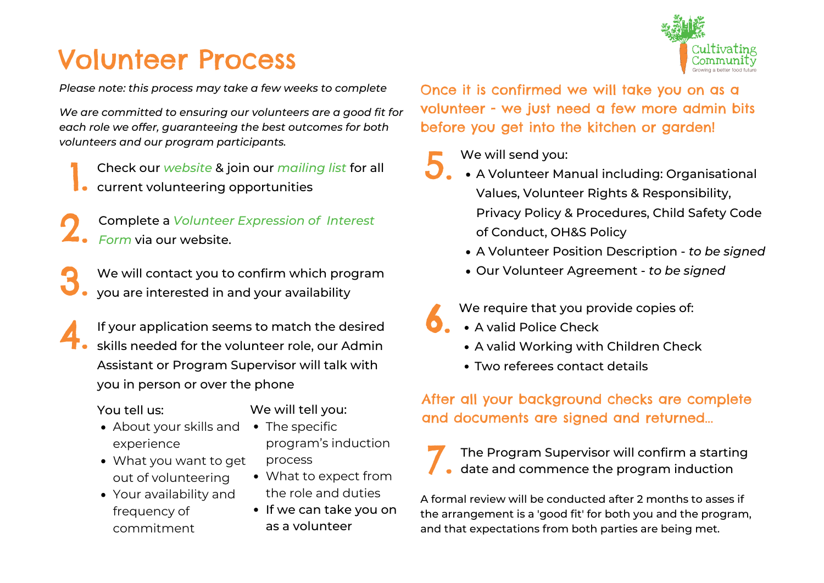# Volunteer Process

*Please note: this process may take a few weeks to complete*

*We are committed to ensuring our volunteers are a good fit for each role we offer, guaranteeing the best outcomes for both volunteers and our program participants.*

Check our *website* & join our *[mailing](http://eepurl.com/dK0VKE) list* for all Check our *website* & join our *mailing*<br>• current volunteering [opportunities](http://www.cultivatingcommunity.org.au/volunteers/)

Complete a *Volunteer [Expression](http://www.cultivatingcommunity.org.au/volunteers/new-volunteer-sign-up/) of Interest Form* via our website. 2.

We will contact you to confirm which program you are interested in and your availability 3.

If your application seems to match the desired skills needed for the volunteer role, our Admin Assistant or Program Supervisor will talk with you in person or over the phone 4.

#### You tell us:

We will tell you:

process

- About your skills and The specific experience
- What you want to get out of volunteering What to expect from
- Your availability and frequency of commitment
- If we can take you on as a volunteer

the role and duties

program's induction

Once it is confirmed we will take you on as a volunteer - we just need a few more admin bits before you get into the kitchen or garden!

### We will send you:

- A Volunteer Manual including: Organisational Values, Volunteer Rights & Responsibility, Privacy Policy & Procedures, Child Safety Code of Conduct, OH&S Policy 5.
	- A Volunteer Position Description *to be signed*
	- Our Volunteer Agreement *to be signed*

We require that you provide copies of:

- A valid Police Check 6.
	- A valid Working with Children Check
	- Two referees contact details

## After all your background checks are complete and documents are signed and returned...

The Program Supervisor will confirm a starting date and commence the program induction 7.

A formal review will be conducted after 2 months to asses if the arrangement is a 'good fit' for both you and the program, and that expectations from both parties are being met.